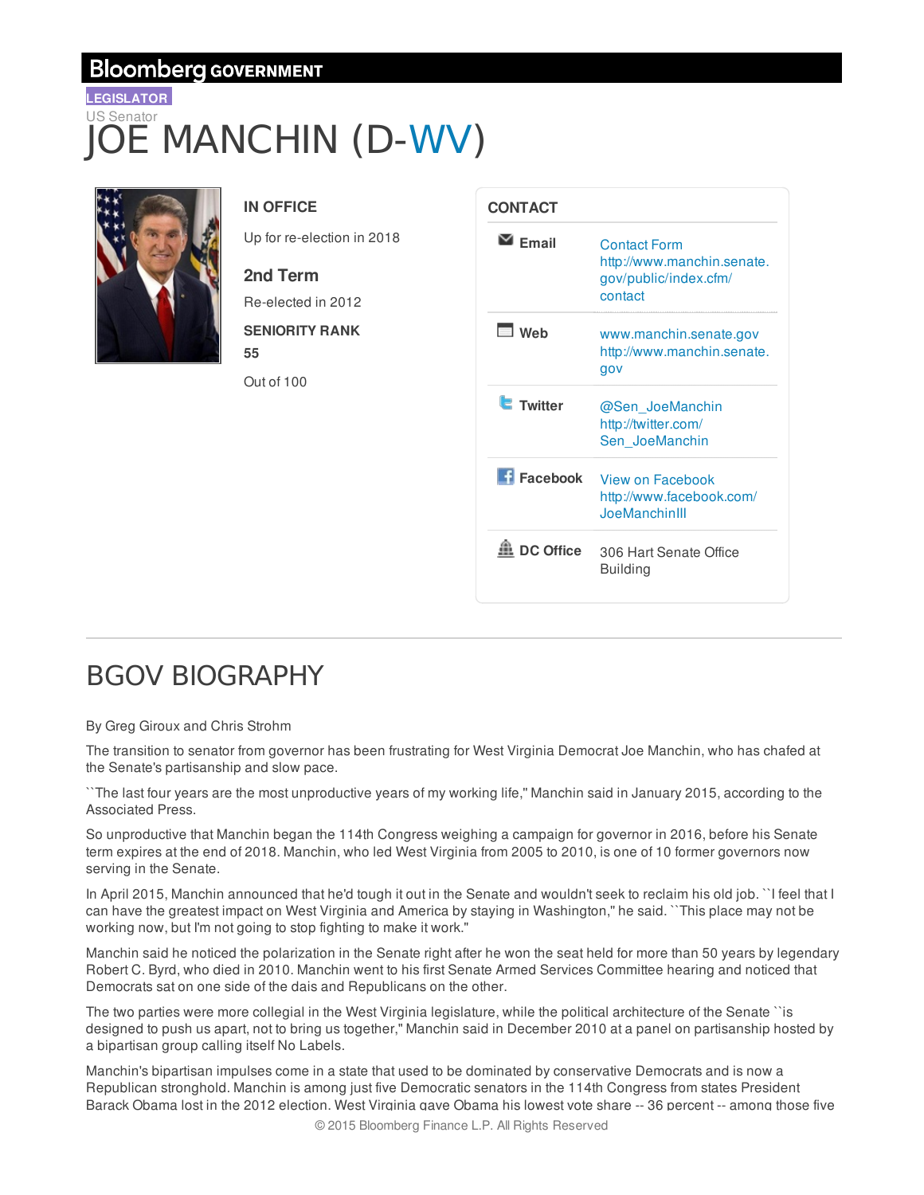### **Bloomberg GOVERNMENT**

## **LEGISLATOR** US Senator E MANCHIN (D-WV)



### **IN OFFICE**

Up for re-election in 2018

### **2nd Term**

Re-elected in 2012 **SENIORITY RANK**

Out of 100

**55**

| CONTACT          |                                                                                       |  |  |
|------------------|---------------------------------------------------------------------------------------|--|--|
| <b>Fmail</b>     | <b>Contact Form</b><br>http://www.manchin.senate.<br>gov/public/index.cfm/<br>contact |  |  |
| ⊟ Web            | www.manchin.senate.gov<br>http://www.manchin.senate.<br>gov                           |  |  |
| <b>Twitter</b>   | @Sen JoeManchin<br>http://twitter.com/<br>Sen JoeManchin                              |  |  |
| Facebook         | View on Facebook<br>http://www.facebook.com/<br>JoeManchinIII                         |  |  |
| <b>DC Office</b> | 306 Hart Senate Office<br><b>Building</b>                                             |  |  |

# BGOV BIOGRAPHY

#### By Greg Giroux and Chris Strohm

The transition to senator from governor has been frustrating for West Virginia Democrat Joe Manchin, who has chafed at the Senate's partisanship and slow pace.

``The last four years are the most unproductive years of my working life,'' Manchin said in January 2015, according to the Associated Press.

So unproductive that Manchin began the 114th Congress weighing a campaign for governor in 2016, before his Senate term expires at the end of 2018. Manchin, who led West Virginia from 2005 to 2010, is one of 10 former governors now serving in the Senate.

In April 2015, Manchin announced that he'd tough it out in the Senate and wouldn't seek to reclaim his old job. ``I feel that I can have the greatest impact on West Virginia and America by staying in Washington,'' he said. ``This place may not be working now, but I'm not going to stop fighting to make it work.''

Manchin said he noticed the polarization in the Senate right after he won the seat held for more than 50 years by legendary Robert C. Byrd, who died in 2010. Manchin went to his first Senate Armed Services Committee hearing and noticed that Democrats sat on one side of the dais and Republicans on the other.

The two parties were more collegial in the West Virginia legislature, while the political architecture of the Senate ``is designed to push us apart, not to bring us together,'' Manchin said in December 2010 at a panel on partisanship hosted by a bipartisan group calling itself No Labels.

Manchin's bipartisan impulses come in a state that used to be dominated by conservative Democrats and is now a Republican stronghold. Manchin is among just five Democratic senators in the 114th Congress from states President Barack Obama lost in the 2012 election. West Virginia gave Obama his lowest vote share -- 36 percent -- among those five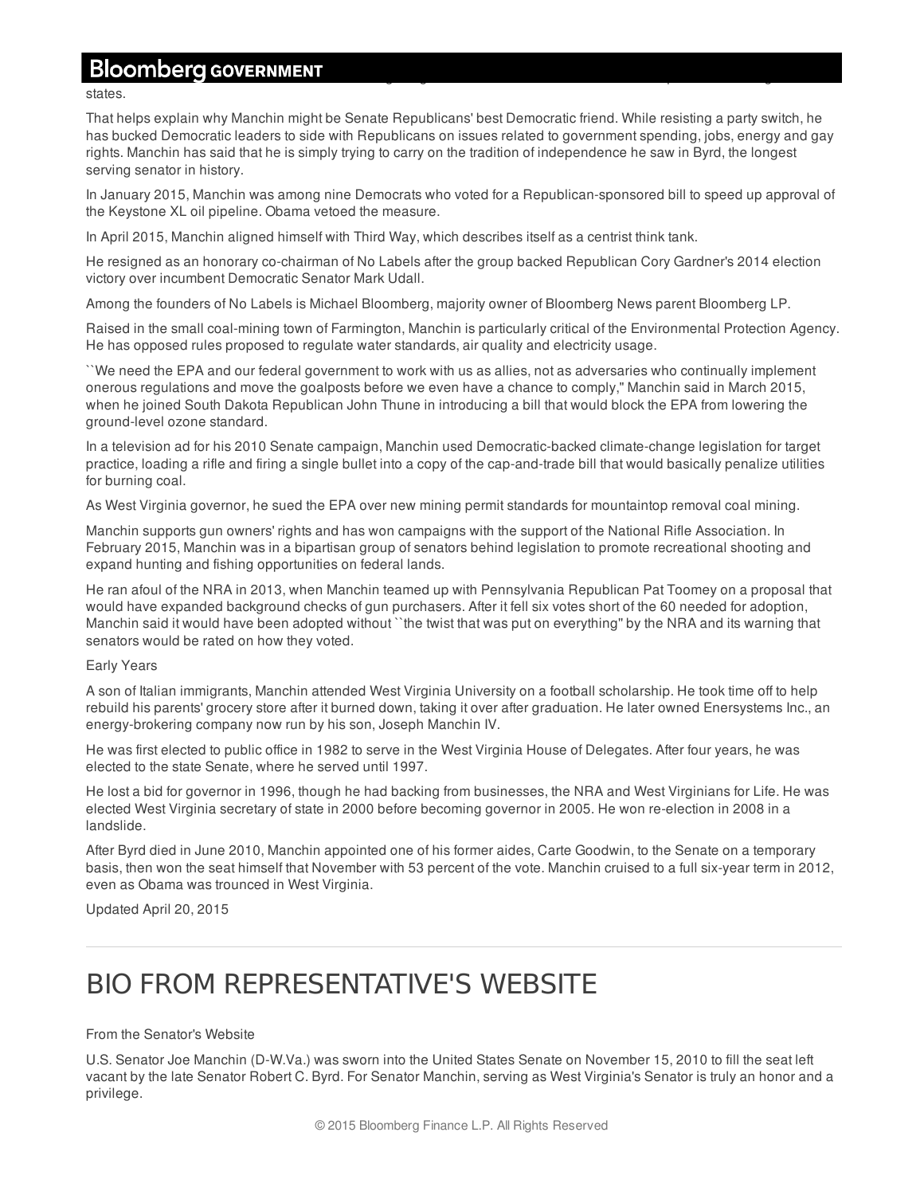### Bloomberg GOVERNMENT

states.

That helps explain why Manchin might be Senate Republicans' best Democratic friend. While resisting a party switch, he has bucked Democratic leaders to side with Republicans on issues related to government spending, jobs, energy and gay rights. Manchin has said that he is simply trying to carry on the tradition of independence he saw in Byrd, the longest serving senator in history.

In January 2015, Manchin was among nine Democrats who voted for a Republican-sponsored bill to speed up approval of the Keystone XL oil pipeline. Obama vetoed the measure.

In April 2015, Manchin aligned himself with Third Way, which describes itself as a centrist think tank.

He resigned as an honorary co-chairman of No Labels after the group backed Republican Cory Gardner's 2014 election victory over incumbent Democratic Senator Mark Udall.

Among the founders of No Labels is Michael Bloomberg, majority owner of Bloomberg News parent Bloomberg LP.

Raised in the small coal-mining town of Farmington, Manchin is particularly critical of the Environmental Protection Agency. He has opposed rules proposed to regulate water standards, air quality and electricity usage.

``We need the EPA and our federal government to work with us as allies, not as adversaries who continually implement onerous regulations and move the goalposts before we even have a chance to comply,'' Manchin said in March 2015, when he joined South Dakota Republican John Thune in introducing a bill that would block the EPA from lowering the ground-level ozone standard.

In a television ad for his 2010 Senate campaign, Manchin used Democratic-backed climate-change legislation for target practice, loading a rifle and firing a single bullet into a copy of the cap-and-trade bill that would basically penalize utilities for burning coal.

As West Virginia governor, he sued the EPA over new mining permit standards for mountaintop removal coal mining.

Manchin supports gun owners' rights and has won campaigns with the support of the National Rifle Association. In February 2015, Manchin was in a bipartisan group of senators behind legislation to promote recreational shooting and expand hunting and fishing opportunities on federal lands.

He ran afoul of the NRA in 2013, when Manchin teamed up with Pennsylvania Republican Pat Toomey on a proposal that would have expanded background checks of gun purchasers. After it fell six votes short of the 60 needed for adoption, Manchin said it would have been adopted without ``the twist that was put on everything" by the NRA and its warning that senators would be rated on how they voted.

#### Early Years

A son of Italian immigrants, Manchin attended West Virginia University on a football scholarship. He took time off to help rebuild his parents' grocery store after it burned down, taking it over after graduation. He later owned Enersystems Inc., an energy-brokering company now run by his son, Joseph Manchin IV.

He was first elected to public office in 1982 to serve in the West Virginia House of Delegates. After four years, he was elected to the state Senate, where he served until 1997.

He lost a bid for governor in 1996, though he had backing from businesses, the NRA and West Virginians for Life. He was elected West Virginia secretary of state in 2000 before becoming governor in 2005. He won re-election in 2008 in a landslide.

After Byrd died in June 2010, Manchin appointed one of his former aides, Carte Goodwin, to the Senate on a temporary basis, then won the seat himself that November with 53 percent of the vote. Manchin cruised to a full six-year term in 2012, even as Obama was trounced in West Virginia.

Updated April 20, 2015

## BIO FROM REPRESENTATIVE'S WEBSITE

#### From the Senator's Website

U.S. Senator Joe Manchin (D-W.Va.) was sworn into the United States Senate on November 15, 2010 to fill the seat left vacant by the late Senator Robert C. Byrd. For Senator Manchin, serving as West Virginia's Senator is truly an honor and a privilege.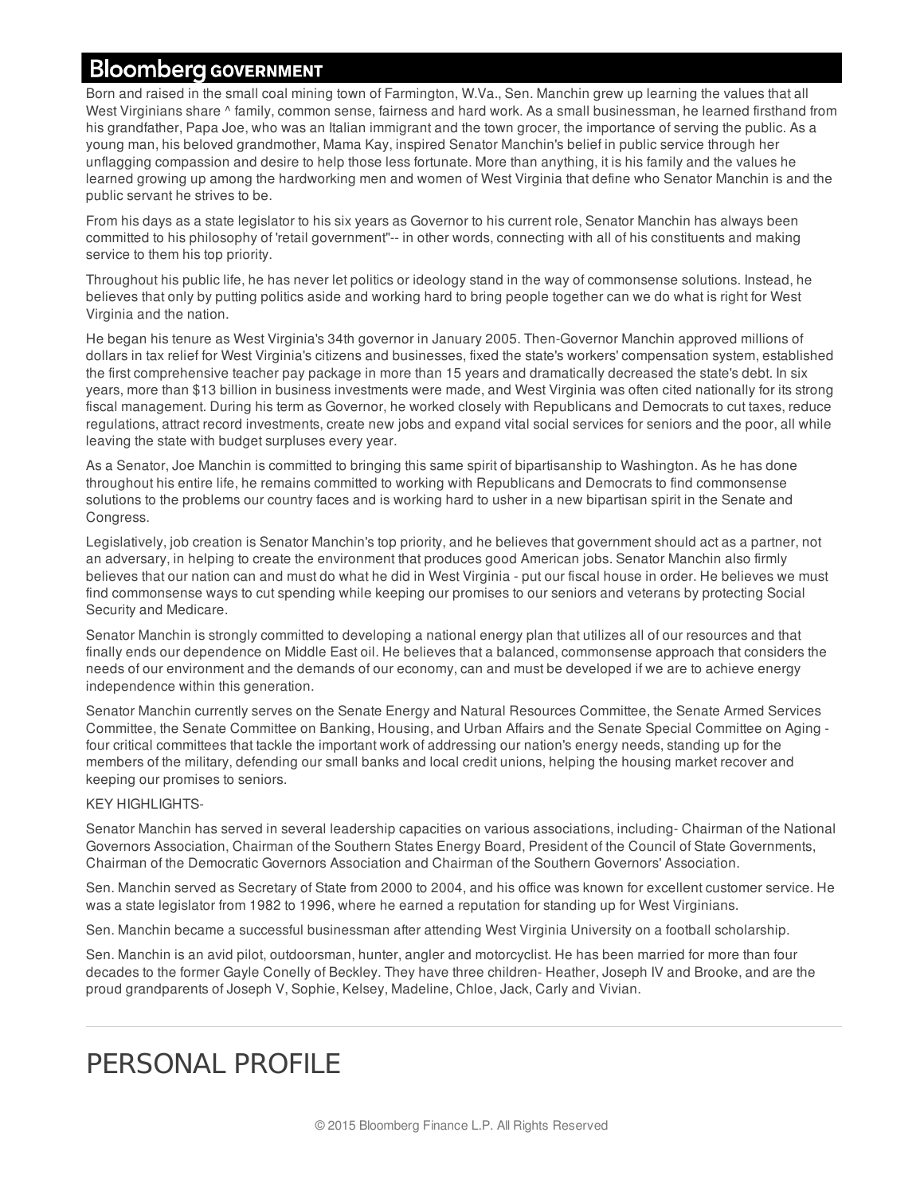## **Bloomberg GOVERNMENT**

Born and raised in the small coal mining town of Farmington, W.Va., Sen. Manchin grew up learning the values that all West Virginians share  $\land$  family, common sense, fairness and hard work. As a small businessman, he learned firsthand from his grandfather, Papa Joe, who was an Italian immigrant and the town grocer, the importance of serving the public. As a young man, his beloved grandmother, Mama Kay, inspired Senator Manchin's belief in public service through her unflagging compassion and desire to help those less fortunate. More than anything, it is his family and the values he learned growing up among the hardworking men and women of West Virginia that define who Senator Manchin is and the public servant he strives to be.

From his days as a state legislator to his six years as Governor to his current role, Senator Manchin has always been committed to his philosophy of 'retail government"-- in other words, connecting with all of his constituents and making service to them his top priority.

Throughout his public life, he has never let politics or ideology stand in the way of commonsense solutions. Instead, he believes that only by putting politics aside and working hard to bring people together can we do what is right for West Virginia and the nation.

He began his tenure as West Virginia's 34th governor in January 2005. Then-Governor Manchin approved millions of dollars in tax relief for West Virginia's citizens and businesses, fixed the state's workers' compensation system, established the first comprehensive teacher pay package in more than 15 years and dramatically decreased the state's debt. In six years, more than \$13 billion in business investments were made, and West Virginia was often cited nationally for its strong fiscal management. During his term as Governor, he worked closely with Republicans and Democrats to cut taxes, reduce regulations, attract record investments, create new jobs and expand vital social services for seniors and the poor, all while leaving the state with budget surpluses every year.

As a Senator, Joe Manchin is committed to bringing this same spirit of bipartisanship to Washington. As he has done throughout his entire life, he remains committed to working with Republicans and Democrats to find commonsense solutions to the problems our country faces and is working hard to usher in a new bipartisan spirit in the Senate and Congress.

Legislatively, job creation is Senator Manchin's top priority, and he believes that government should act as a partner, not an adversary, in helping to create the environment that produces good American jobs. Senator Manchin also firmly believes that our nation can and must do what he did in West Virginia - put our fiscal house in order. He believes we must find commonsense ways to cut spending while keeping our promises to our seniors and veterans by protecting Social Security and Medicare.

Senator Manchin is strongly committed to developing a national energy plan that utilizes all of our resources and that finally ends our dependence on Middle East oil. He believes that a balanced, commonsense approach that considers the needs of our environment and the demands of our economy, can and must be developed if we are to achieve energy independence within this generation.

Senator Manchin currently serves on the Senate Energy and Natural Resources Committee, the Senate Armed Services Committee, the Senate Committee on Banking, Housing, and Urban Affairs and the Senate Special Committee on Aging four critical committees that tackle the important work of addressing our nation's energy needs, standing up for the members of the military, defending our small banks and local credit unions, helping the housing market recover and keeping our promises to seniors.

#### KEY HIGHLIGHTS-

Senator Manchin has served in several leadership capacities on various associations, including- Chairman of the National Governors Association, Chairman of the Southern States Energy Board, President of the Council of State Governments, Chairman of the Democratic Governors Association and Chairman of the Southern Governors' Association.

Sen. Manchin served as Secretary of State from 2000 to 2004, and his office was known for excellent customer service. He was a state legislator from 1982 to 1996, where he earned a reputation for standing up for West Virginians.

Sen. Manchin became a successful businessman after attending West Virginia University on a football scholarship.

Sen. Manchin is an avid pilot, outdoorsman, hunter, angler and motorcyclist. He has been married for more than four decades to the former Gayle Conelly of Beckley. They have three children- Heather, Joseph IV and Brooke, and are the proud grandparents of Joseph V, Sophie, Kelsey, Madeline, Chloe, Jack, Carly and Vivian.

# PERSONAL PROFILE